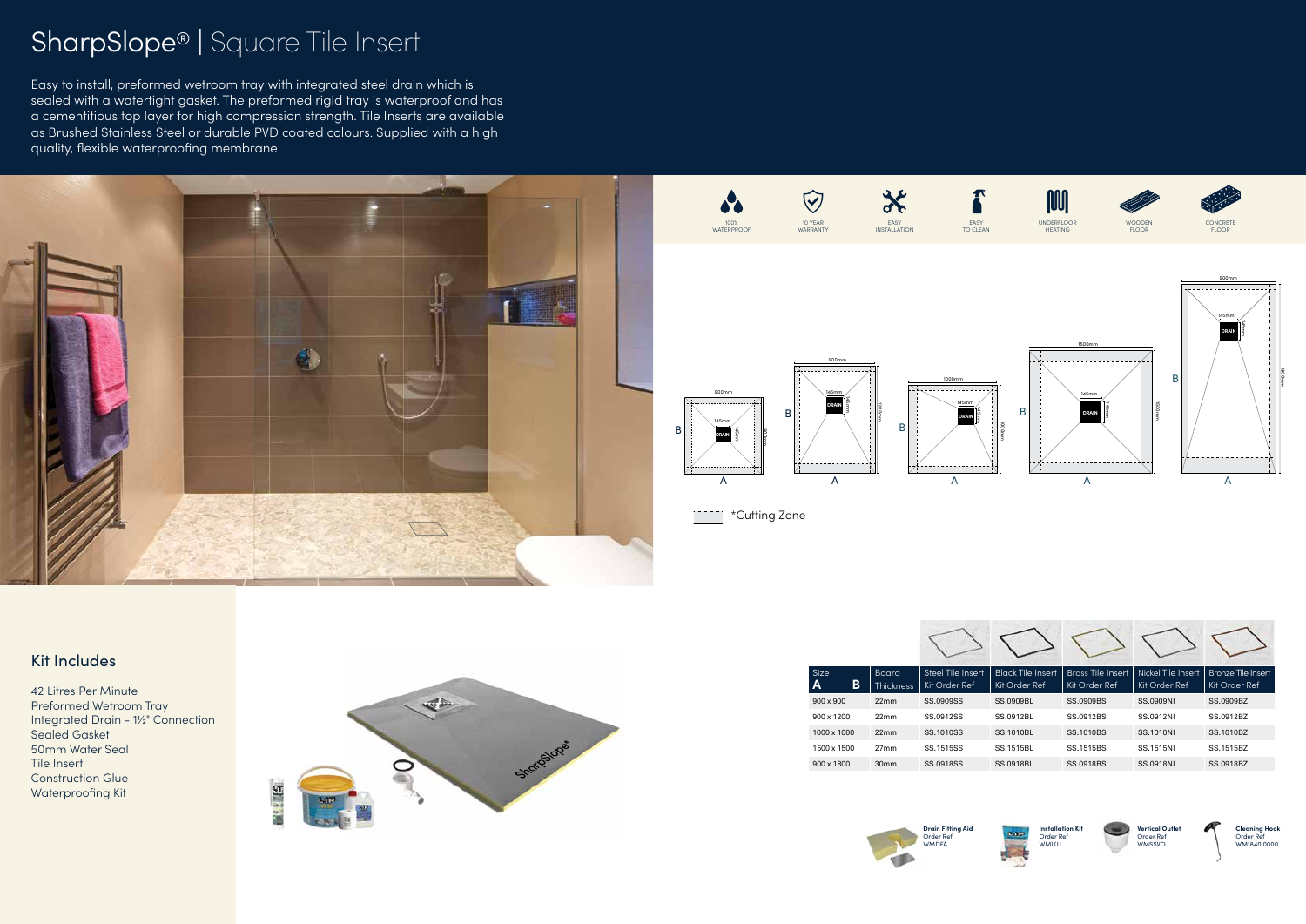## SharpSlope® | Square Tile Insert

Easy to install, preformed wetroom tray with integrated steel drain which is sealed with a watertight gasket. The preformed rigid tray is waterproof and has a cementitious top layer for high compression strength. Tile Inserts are available as Brushed Stainless Steel or durable PVD coated colours. Supplied with a high quality, flexible waterproofing membrane.

## Kit Includes

42 Litres Per Minute Preformed Wetroom Tray Integrated Drain - 1½" Connection Sealed Gasket 50mm Water Seal Tile Insert Construction Glue Waterproofing Kit



| Size<br>B<br>$\mathbf{A}$ | <b>Board</b><br><b>Thickness</b> | Steel Tile Insert<br>Kit Order Ref | <b>Black Tile Insert</b><br>Kit Order Ref | Kit Order Ref    | Brass Tile Insert   Nickel Tile Insert   Bronze Tile Insert<br>Kit Order Ref | Kit Order Ref |
|---------------------------|----------------------------------|------------------------------------|-------------------------------------------|------------------|------------------------------------------------------------------------------|---------------|
| $900 \times 900$          | 22mm                             | SS.0909SS                          | <b>SS.0909BL</b>                          | <b>SS.0909BS</b> | <b>SS.0909NI</b>                                                             | SS.0909BZ     |
| $900 \times 1200$         | 22mm                             | SS.0912SS                          | SS.0912BL                                 | SS.0912BS        | SS.0912NI                                                                    | SS.0912BZ     |
| 1000 x 1000               | 22mm                             | SS.1010SS                          | <b>SS.1010BL</b>                          | SS.1010BS        | SS.1010NI                                                                    | SS.1010BZ     |
| 1500 x 1500               | 27 <sub>mm</sub>                 | SS.1515SS                          | SS.1515BL                                 | SS.1515BS        | SS.1515NI                                                                    | SS.1515BZ     |
| 900 x 1800                | 30mm                             | SS.0918SS                          | <b>SS.0918BL</b>                          | SS.0918BS        | SS.0918NI                                                                    | SS.0918BZ     |







**Installation Kit** Order Ref WMIKU



**Vertical Outlet** Order Ref WMSSVO



**Cleaning Hook** Order Ref WM1840.0000